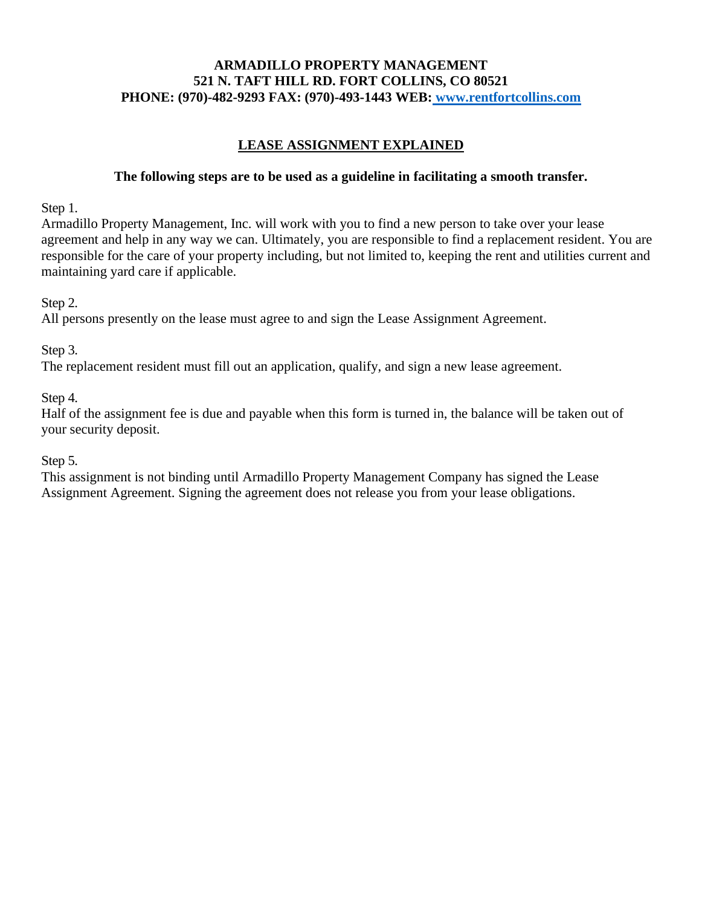## **ARMADILLO PROPERTY MANAGEMENT 521 N. TAFT HILL RD. FORT COLLINS, CO 80521 PHONE: (970)-482-9293 FAX: (970)-493-1443 WEB: www.rentfortcollins.com**

# **LEASE ASSIGNMENT EXPLAINED**

### **The following steps are to be used as a guideline in facilitating a smooth transfer.**

Step 1.

Armadillo Property Management, Inc. will work with you to find a new person to take over your lease agreement and help in any way we can. Ultimately, you are responsible to find a replacement resident. You are responsible for the care of your property including, but not limited to, keeping the rent and utilities current and maintaining yard care if applicable.

Step 2.

All persons presently on the lease must agree to and sign the Lease Assignment Agreement.

Step 3.

The replacement resident must fill out an application, qualify, and sign a new lease agreement.

Step 4.

Half of the assignment fee is due and payable when this form is turned in, the balance will be taken out of your security deposit.

Step 5.

This assignment is not binding until Armadillo Property Management Company has signed the Lease Assignment Agreement. Signing the agreement does not release you from your lease obligations.